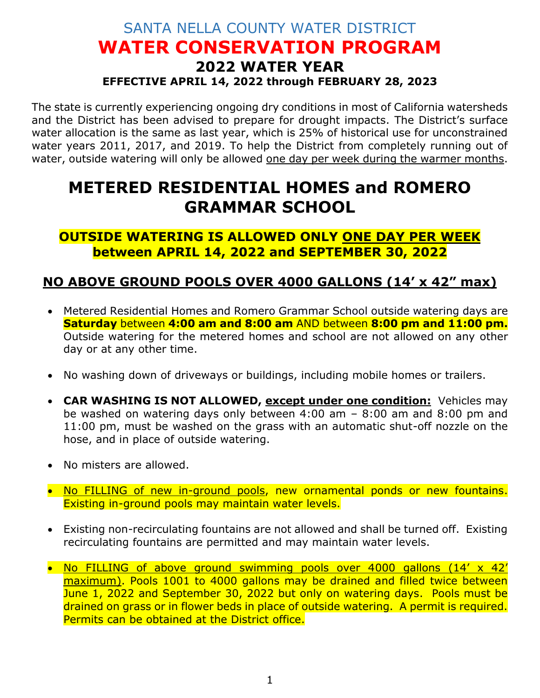## SANTA NELLA COUNTY WATER DISTRICT **WATER CONSERVATION PROGRAM 2022 WATER YEAR EFFECTIVE APRIL 14, 2022 through FEBRUARY 28, 2023**

The state is currently experiencing ongoing dry conditions in most of California watersheds and the District has been advised to prepare for drought impacts. The District's surface water allocation is the same as last year, which is 25% of historical use for unconstrained water years 2011, 2017, and 2019. To help the District from completely running out of water, outside watering will only be allowed one day per week during the warmer months.

## **METERED RESIDENTIAL HOMES and ROMERO GRAMMAR SCHOOL**

**OUTSIDE WATERING IS ALLOWED ONLY ONE DAY PER WEEK between APRIL 14, 2022 and SEPTEMBER 30, 2022**

## **NO ABOVE GROUND POOLS OVER 4000 GALLONS (14' x 42" max)**

- Metered Residential Homes and Romero Grammar School outside watering days are **Saturday** between **4:00 am and 8:00 am** AND between **8:00 pm and 11:00 pm.**  Outside watering for the metered homes and school are not allowed on any other day or at any other time.
- No washing down of driveways or buildings, including mobile homes or trailers.
- **CAR WASHING IS NOT ALLOWED, except under one condition:** Vehicles may be washed on watering days only between 4:00 am – 8:00 am and 8:00 pm and 11:00 pm, must be washed on the grass with an automatic shut-off nozzle on the hose, and in place of outside watering.
- No misters are allowed.
- No FILLING of new in-ground pools, new ornamental ponds or new fountains. Existing in-ground pools may maintain water levels.
- Existing non-recirculating fountains are not allowed and shall be turned off. Existing recirculating fountains are permitted and may maintain water levels.
- No FILLING of above ground swimming pools over 4000 gallons (14' x 42' maximum). Pools 1001 to 4000 gallons may be drained and filled twice between June 1, 2022 and September 30, 2022 but only on watering days. Pools must be drained on grass or in flower beds in place of outside watering. A permit is required. Permits can be obtained at the District office.